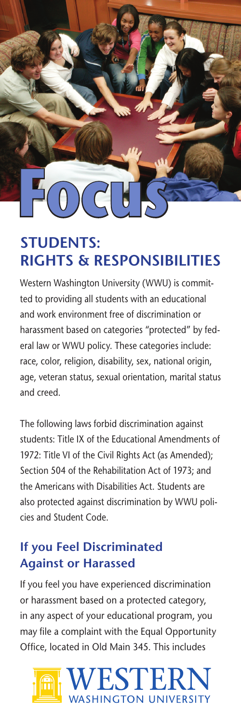**Focus**

## **STUDENTS: RIGHTS & RESPONSIBILITIES**

Western Washington University (WWU) is committed to providing all students with an educational and work environment free of discrimination or harassment based on categories "protected" by federal law or WWU policy. These categories include: race, color, religion, disability, sex, national origin, age, veteran status, sexual orientation, marital status and creed.

The following laws forbid discrimination against students: Title IX of the Educational Amendments of 1972: Title VI of the Civil Rights Act (as Amended); Section 504 of the Rehabilitation Act of 1973; and the Americans with Disabilities Act. Students are also protected against discrimination by WWU policies and Student Code.

### **If you Feel Discriminated Against or Harassed**

If you feel you have experienced discrimination or harassment based on a protected category, in any aspect of your educational program, you may file a complaint with the Equal Opportunity Office, located in Old Main 345. This includes